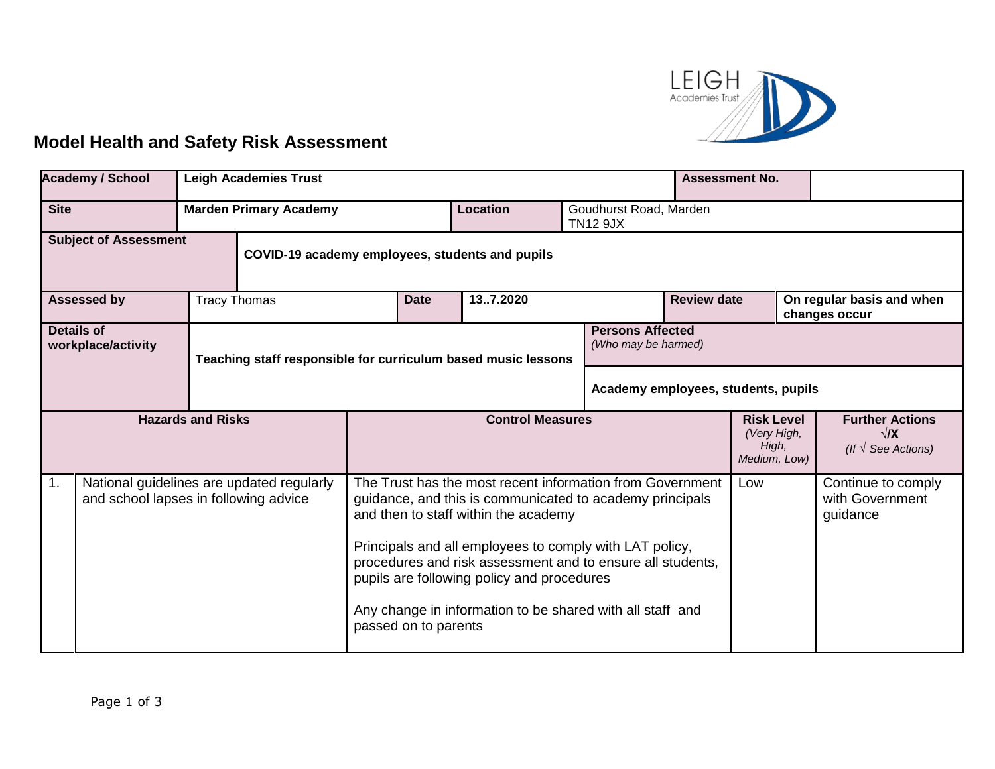

## **Model Health and Safety Risk Assessment**

| <b>Academy / School</b>                                                                              | <b>Leigh Academies Trust</b> |                                                               |                                                                                                                                                                                                                                                                                                                                                                                                                           |  |          | <b>Assessment No.</b>                                     |                                                                     |                                            |  |  |
|------------------------------------------------------------------------------------------------------|------------------------------|---------------------------------------------------------------|---------------------------------------------------------------------------------------------------------------------------------------------------------------------------------------------------------------------------------------------------------------------------------------------------------------------------------------------------------------------------------------------------------------------------|--|----------|-----------------------------------------------------------|---------------------------------------------------------------------|--------------------------------------------|--|--|
| <b>Site</b>                                                                                          |                              | <b>Marden Primary Academy</b>                                 |                                                                                                                                                                                                                                                                                                                                                                                                                           |  | Location | <b>TN12 9JX</b>                                           | Goudhurst Road, Marden                                              |                                            |  |  |
| <b>Subject of Assessment</b><br>COVID-19 academy employees, students and pupils                      |                              |                                                               |                                                                                                                                                                                                                                                                                                                                                                                                                           |  |          |                                                           |                                                                     |                                            |  |  |
| <b>Tracy Thomas</b><br><b>Assessed by</b>                                                            |                              |                                                               | 137.2020<br><b>Date</b>                                                                                                                                                                                                                                                                                                                                                                                                   |  |          | <b>Review date</b>                                        |                                                                     | On regular basis and when<br>changes occur |  |  |
| <b>Details of</b><br>workplace/activity                                                              |                              | Teaching staff responsible for curriculum based music lessons |                                                                                                                                                                                                                                                                                                                                                                                                                           |  |          | <b>Persons Affected</b><br>(Who may be harmed)            |                                                                     |                                            |  |  |
|                                                                                                      |                              |                                                               |                                                                                                                                                                                                                                                                                                                                                                                                                           |  |          |                                                           | Academy employees, students, pupils                                 |                                            |  |  |
| <b>Hazards and Risks</b>                                                                             |                              |                                                               | <b>Control Measures</b>                                                                                                                                                                                                                                                                                                                                                                                                   |  |          | <b>Risk Level</b><br>(Very High,<br>High,<br>Medium, Low) | <b>Further Actions</b><br>$\sqrt{X}$<br>(If $\sqrt{ }$ See Actions) |                                            |  |  |
| $\mathbf{1}$ .<br>National guidelines are updated regularly<br>and school lapses in following advice |                              |                                                               | The Trust has the most recent information from Government<br>guidance, and this is communicated to academy principals<br>and then to staff within the academy<br>Principals and all employees to comply with LAT policy,<br>procedures and risk assessment and to ensure all students,<br>pupils are following policy and procedures<br>Any change in information to be shared with all staff and<br>passed on to parents |  |          | Low                                                       | Continue to comply<br>with Government<br>guidance                   |                                            |  |  |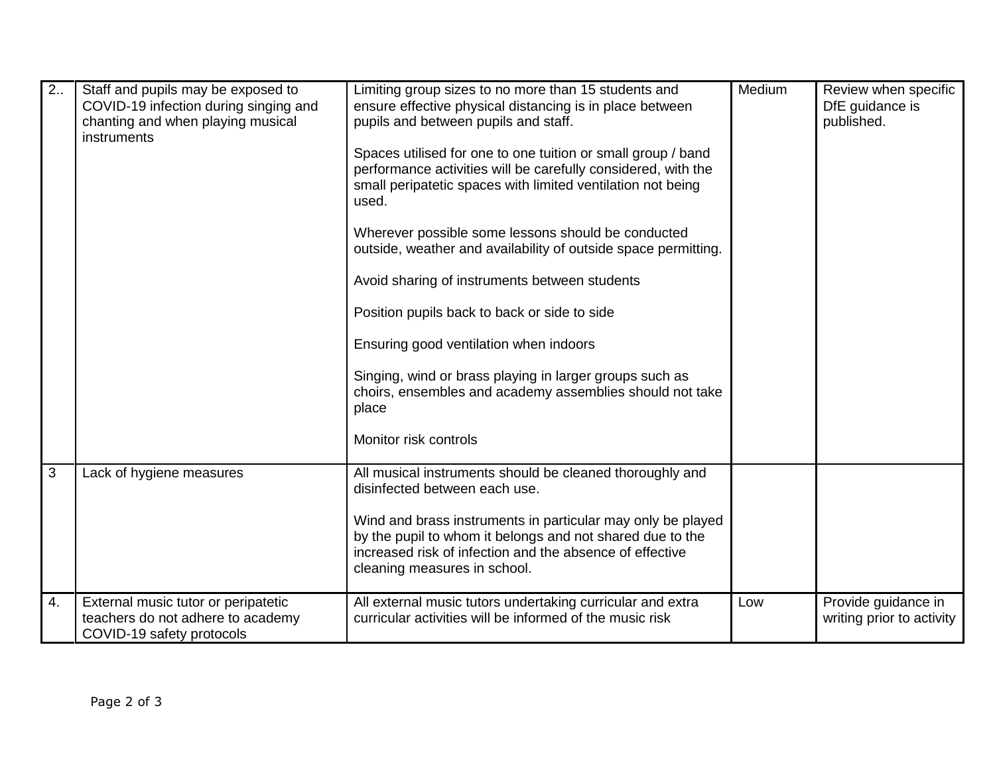| 2. | Staff and pupils may be exposed to<br>COVID-19 infection during singing and<br>chanting and when playing musical<br><i>instruments</i> | Limiting group sizes to no more than 15 students and<br>ensure effective physical distancing is in place between<br>pupils and between pupils and staff.<br>Spaces utilised for one to one tuition or small group / band<br>performance activities will be carefully considered, with the<br>small peripatetic spaces with limited ventilation not being<br>used.<br>Wherever possible some lessons should be conducted<br>outside, weather and availability of outside space permitting.<br>Avoid sharing of instruments between students<br>Position pupils back to back or side to side<br>Ensuring good ventilation when indoors<br>Singing, wind or brass playing in larger groups such as<br>choirs, ensembles and academy assemblies should not take<br>place<br>Monitor risk controls | Medium | Review when specific<br>DfE guidance is<br>published. |
|----|----------------------------------------------------------------------------------------------------------------------------------------|-----------------------------------------------------------------------------------------------------------------------------------------------------------------------------------------------------------------------------------------------------------------------------------------------------------------------------------------------------------------------------------------------------------------------------------------------------------------------------------------------------------------------------------------------------------------------------------------------------------------------------------------------------------------------------------------------------------------------------------------------------------------------------------------------|--------|-------------------------------------------------------|
| 3  | Lack of hygiene measures                                                                                                               | All musical instruments should be cleaned thoroughly and<br>disinfected between each use.<br>Wind and brass instruments in particular may only be played<br>by the pupil to whom it belongs and not shared due to the<br>increased risk of infection and the absence of effective<br>cleaning measures in school.                                                                                                                                                                                                                                                                                                                                                                                                                                                                             |        |                                                       |
| 4. | External music tutor or peripatetic<br>teachers do not adhere to academy<br>COVID-19 safety protocols                                  | All external music tutors undertaking curricular and extra<br>curricular activities will be informed of the music risk                                                                                                                                                                                                                                                                                                                                                                                                                                                                                                                                                                                                                                                                        | Low    | Provide guidance in<br>writing prior to activity      |